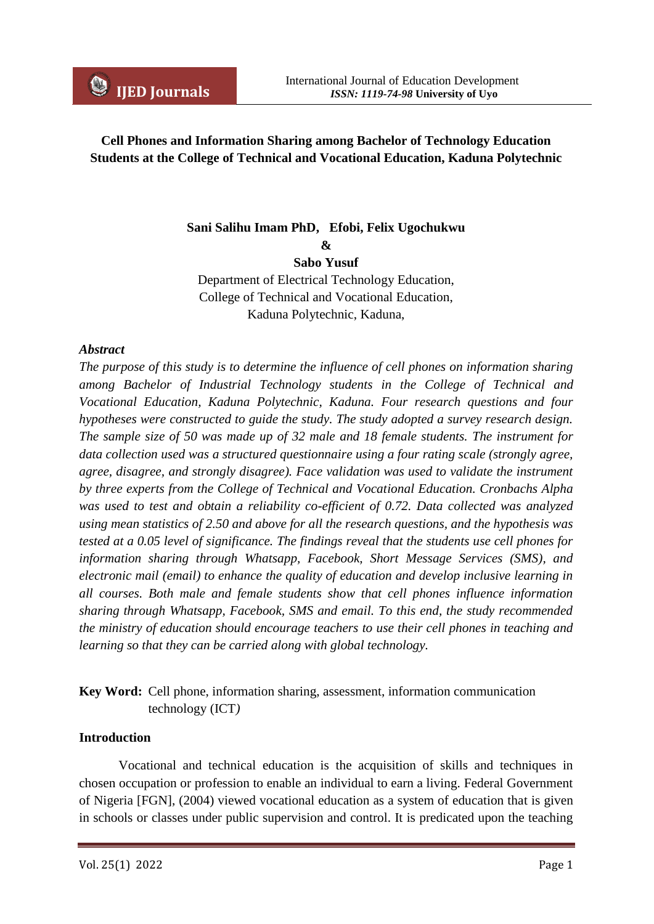# **Cell Phones and Information Sharing among Bachelor of Technology Education Students at the College of Technical and Vocational Education, Kaduna Polytechnic**

# **Sani Salihu Imam PhD, Efobi, Felix Ugochukwu**

**&**

**Sabo Yusuf** 

Department of Electrical Technology Education, College of Technical and Vocational Education, Kaduna Polytechnic, Kaduna,

#### *Abstract*

*The purpose of this study is to determine the influence of cell phones on information sharing among Bachelor of Industrial Technology students in the College of Technical and Vocational Education, Kaduna Polytechnic, Kaduna. Four research questions and four hypotheses were constructed to guide the study. The study adopted a survey research design. The sample size of 50 was made up of 32 male and 18 female students. The instrument for data collection used was a structured questionnaire using a four rating scale (strongly agree, agree, disagree, and strongly disagree). Face validation was used to validate the instrument by three experts from the College of Technical and Vocational Education. Cronbachs Alpha was used to test and obtain a reliability co-efficient of 0.72. Data collected was analyzed using mean statistics of 2.50 and above for all the research questions, and the hypothesis was tested at a 0.05 level of significance. The findings reveal that the students use cell phones for information sharing through Whatsapp, Facebook, Short Message Services (SMS), and electronic mail (email) to enhance the quality of education and develop inclusive learning in all courses. Both male and female students show that cell phones influence information sharing through Whatsapp, Facebook, SMS and email. To this end, the study recommended the ministry of education should encourage teachers to use their cell phones in teaching and learning so that they can be carried along with global technology.*

# **Key Word:** Cell phone, information sharing, assessment, information communication technology (ICT*)*

## **Introduction**

Vocational and technical education is the acquisition of skills and techniques in chosen occupation or profession to enable an individual to earn a living. Federal Government of Nigeria [FGN], (2004) viewed vocational education as a system of education that is given in schools or classes under public supervision and control. It is predicated upon the teaching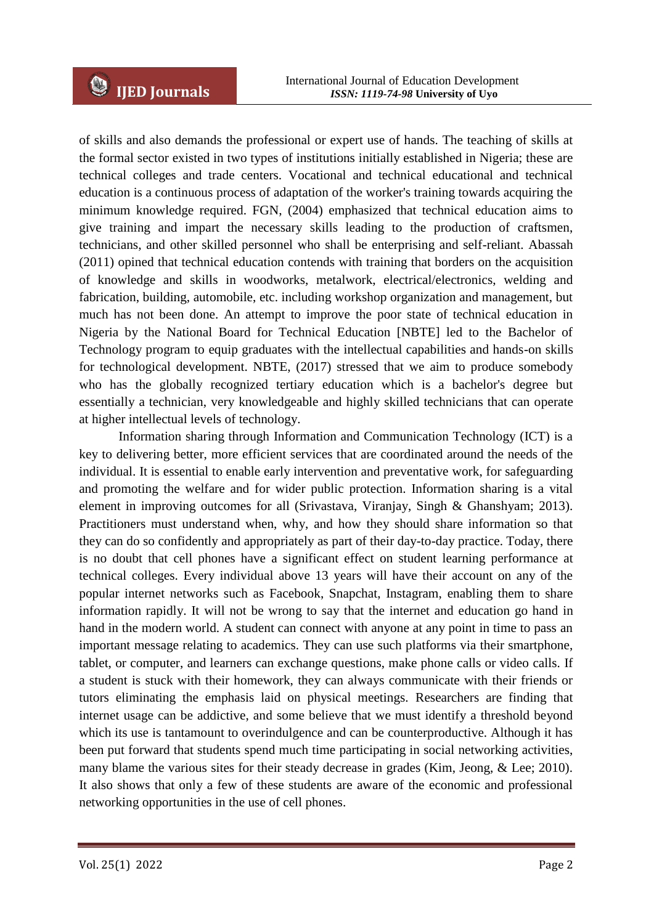of skills and also demands the professional or expert use of hands. The teaching of skills at the formal sector existed in two types of institutions initially established in Nigeria; these are technical colleges and trade centers. Vocational and technical educational and technical education is a continuous process of adaptation of the worker's training towards acquiring the minimum knowledge required. FGN, (2004) emphasized that technical education aims to give training and impart the necessary skills leading to the production of craftsmen, technicians, and other skilled personnel who shall be enterprising and self-reliant. Abassah (2011) opined that technical education contends with training that borders on the acquisition of knowledge and skills in woodworks, metalwork, electrical/electronics, welding and fabrication, building, automobile, etc. including workshop organization and management, but much has not been done. An attempt to improve the poor state of technical education in Nigeria by the National Board for Technical Education [NBTE] led to the Bachelor of Technology program to equip graduates with the intellectual capabilities and hands-on skills for technological development. NBTE, (2017) stressed that we aim to produce somebody who has the globally recognized tertiary education which is a bachelor's degree but essentially a technician, very knowledgeable and highly skilled technicians that can operate at higher intellectual levels of technology.

Information sharing through Information and Communication Technology (ICT) is a key to delivering better, more efficient services that are coordinated around the needs of the individual. It is essential to enable early intervention and preventative work, for safeguarding and promoting the welfare and for wider public protection. Information sharing is a vital element in improving outcomes for all (Srivastava, Viranjay, Singh & Ghanshyam; 2013). Practitioners must understand when, why, and how they should share information so that they can do so confidently and appropriately as part of their day-to-day practice. Today, there is no doubt that cell phones have a significant effect on student learning performance at technical colleges. Every individual above 13 years will have their account on any of the popular internet networks such as Facebook, Snapchat, Instagram, enabling them to share information rapidly. It will not be wrong to say that the internet and education go hand in hand in the modern world. A student can connect with anyone at any point in time to pass an important message relating to academics. They can use such platforms via their smartphone, tablet, or computer, and learners can exchange questions, make phone calls or video calls. If a student is stuck with their homework, they can always communicate with their friends or tutors eliminating the emphasis laid on physical meetings. Researchers are finding that internet usage can be addictive, and some believe that we must identify a threshold beyond which its use is tantamount to overindulgence and can be counterproductive. Although it has been put forward that students spend much time participating in social networking activities, many blame the various sites for their steady decrease in grades (Kim, Jeong, & Lee; 2010). It also shows that only a few of these students are aware of the economic and professional networking opportunities in the use of cell phones.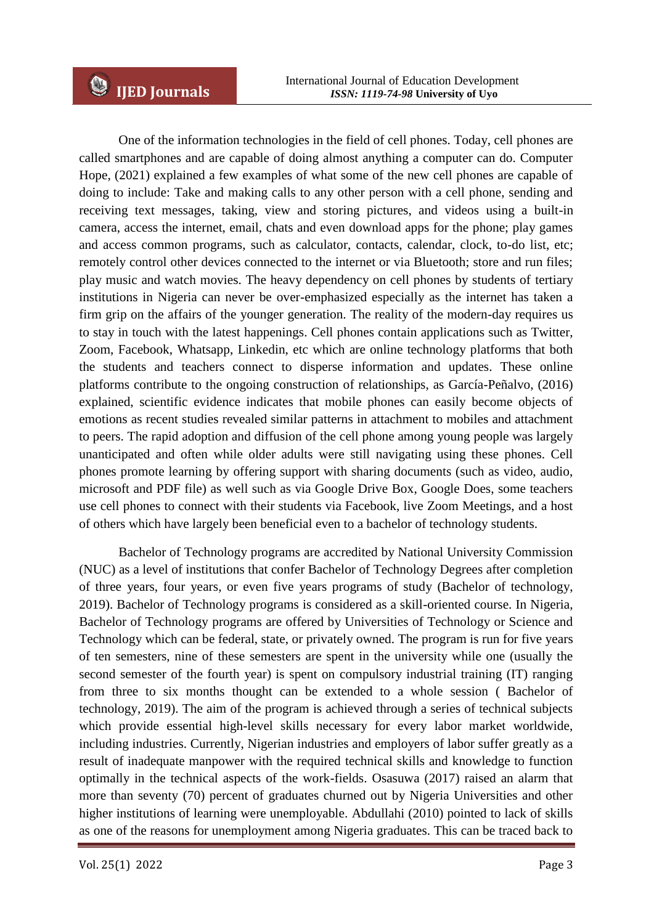One of the information technologies in the field of cell phones. Today, cell phones are called smartphones and are capable of doing almost anything a computer can do. Computer Hope, (2021) explained a few examples of what some of the new cell phones are capable of doing to include: Take and making calls to any other person with a cell phone, sending and receiving text messages, taking, view and storing pictures, and videos using a built-in camera, access the internet, email, chats and even download apps for the phone; play games and access common programs, such as calculator, contacts, calendar, clock, to-do list, etc; remotely control other devices connected to the internet or via Bluetooth; store and run files; play music and watch movies. The heavy dependency on cell phones by students of tertiary institutions in Nigeria can never be over-emphasized especially as the internet has taken a firm grip on the affairs of the younger generation. The reality of the modern-day requires us to stay in touch with the latest happenings. Cell phones contain applications such as Twitter, Zoom, Facebook, Whatsapp, Linkedin, etc which are online technology platforms that both the students and teachers connect to disperse information and updates. These online platforms contribute to the ongoing construction of relationships, as García-Peñalvo, (2016) explained, scientific evidence indicates that mobile phones can easily become objects of emotions as recent studies revealed similar patterns in attachment to mobiles and attachment to peers. The rapid adoption and diffusion of the cell phone among young people was largely unanticipated and often while older adults were still navigating using these phones. Cell phones promote learning by offering support with sharing documents (such as video, audio, microsoft and PDF file) as well such as via Google Drive Box, Google Does, some teachers use cell phones to connect with their students via Facebook, live Zoom Meetings, and a host of others which have largely been beneficial even to a bachelor of technology students.

Bachelor of Technology programs are accredited by National University Commission (NUC) as a level of institutions that confer Bachelor of Technology Degrees after completion of three years, four years, or even five years programs of study (Bachelor of technology, 2019). Bachelor of Technology programs is considered as a skill-oriented course. In Nigeria, Bachelor of Technology programs are offered by Universities of Technology or Science and Technology which can be federal, state, or privately owned. The program is run for five years of ten semesters, nine of these semesters are spent in the university while one (usually the second semester of the fourth year) is spent on compulsory industrial training (IT) ranging from three to six months thought can be extended to a whole session ( Bachelor of technology, 2019). The aim of the program is achieved through a series of technical subjects which provide essential high-level skills necessary for every labor market worldwide, including industries. Currently, Nigerian industries and employers of labor suffer greatly as a result of inadequate manpower with the required technical skills and knowledge to function optimally in the technical aspects of the work-fields. Osasuwa (2017) raised an alarm that more than seventy (70) percent of graduates churned out by Nigeria Universities and other higher institutions of learning were unemployable. Abdullahi (2010) pointed to lack of skills as one of the reasons for unemployment among Nigeria graduates. This can be traced back to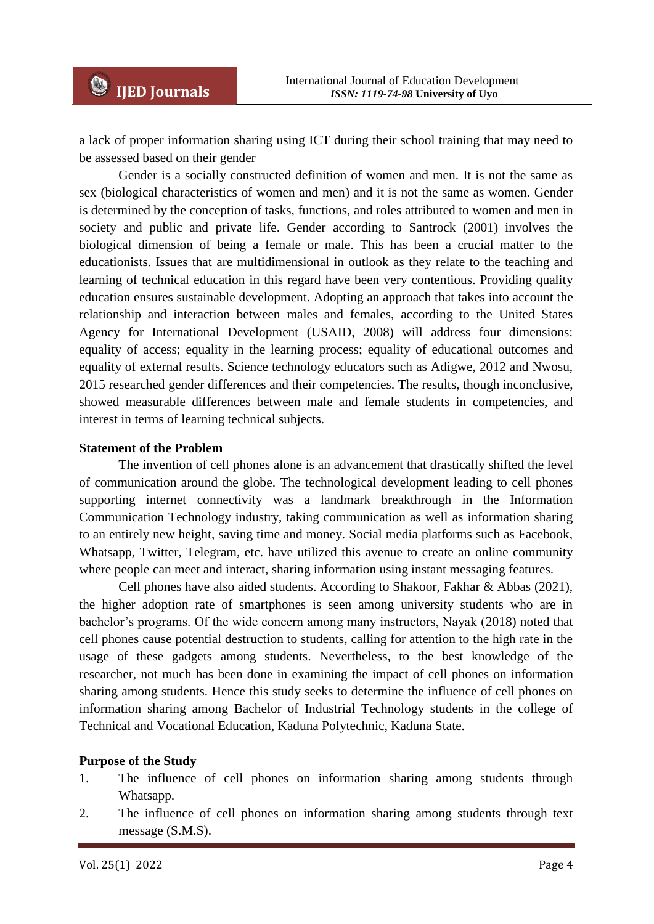a lack of proper information sharing using ICT during their school training that may need to be assessed based on their gender

Gender is a socially constructed definition of women and men. It is not the same as sex (biological characteristics of women and men) and it is not the same as women. Gender is determined by the conception of tasks, functions, and roles attributed to women and men in society and public and private life. Gender according to Santrock (2001) involves the biological dimension of being a female or male. This has been a crucial matter to the educationists. Issues that are multidimensional in outlook as they relate to the teaching and learning of technical education in this regard have been very contentious. Providing quality education ensures sustainable development. Adopting an approach that takes into account the relationship and interaction between males and females, according to the United States Agency for International Development (USAID, 2008) will address four dimensions: equality of access; equality in the learning process; equality of educational outcomes and equality of external results. Science technology educators such as Adigwe, 2012 and Nwosu, 2015 researched gender differences and their competencies. The results, though inconclusive, showed measurable differences between male and female students in competencies, and interest in terms of learning technical subjects.

#### **Statement of the Problem**

The invention of cell phones alone is an advancement that drastically shifted the level of communication around the globe. The technological development leading to cell phones supporting internet connectivity was a landmark breakthrough in the Information Communication Technology industry, taking communication as well as information sharing to an entirely new height, saving time and money. Social media platforms such as Facebook, Whatsapp, Twitter, Telegram, etc. have utilized this avenue to create an online community where people can meet and interact, sharing information using instant messaging features.

Cell phones have also aided students. According to Shakoor, Fakhar & Abbas (2021), the higher adoption rate of smartphones is seen among university students who are in bachelor's programs. Of the wide concern among many instructors, Nayak (2018) noted that cell phones cause potential destruction to students, calling for attention to the high rate in the usage of these gadgets among students. Nevertheless, to the best knowledge of the researcher, not much has been done in examining the impact of cell phones on information sharing among students. Hence this study seeks to determine the influence of cell phones on information sharing among Bachelor of Industrial Technology students in the college of Technical and Vocational Education, Kaduna Polytechnic, Kaduna State.

#### **Purpose of the Study**

- 1. The influence of cell phones on information sharing among students through Whatsapp.
- 2. The influence of cell phones on information sharing among students through text message (S.M.S).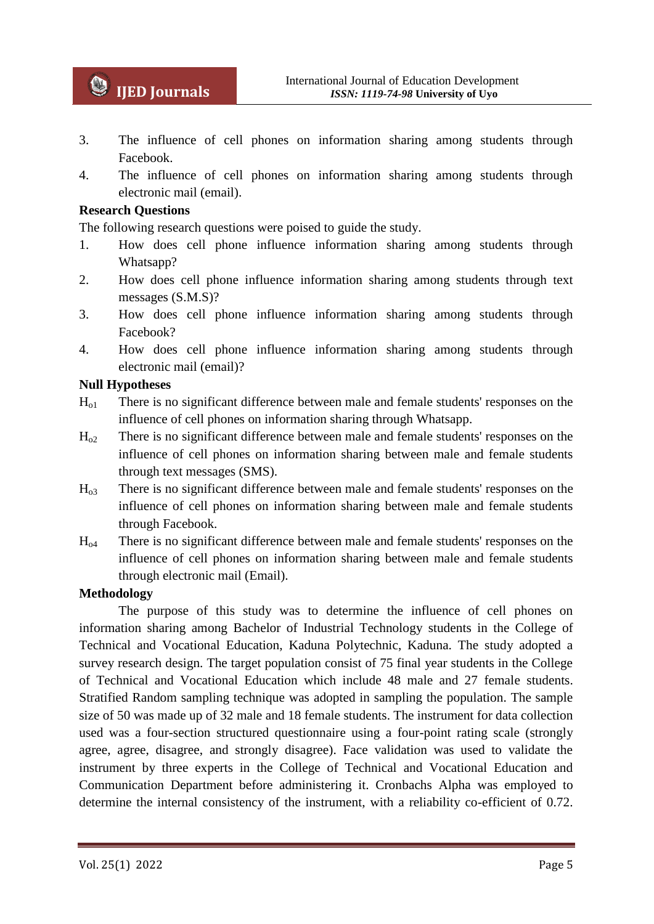- 3. The influence of cell phones on information sharing among students through Facebook.
- 4. The influence of cell phones on information sharing among students through electronic mail (email).

# **Research Questions**

The following research questions were poised to guide the study.

- 1. How does cell phone influence information sharing among students through Whatsapp?
- 2. How does cell phone influence information sharing among students through text messages (S.M.S)?
- 3. How does cell phone influence information sharing among students through Facebook?
- 4. How does cell phone influence information sharing among students through electronic mail (email)?

#### **Null Hypotheses**

- Ho1 There is no significant difference between male and female students' responses on the influence of cell phones on information sharing through Whatsapp.
- $H_{02}$  There is no significant difference between male and female students' responses on the influence of cell phones on information sharing between male and female students through text messages (SMS).
- Ho3 There is no significant difference between male and female students' responses on the influence of cell phones on information sharing between male and female students through Facebook.
- Ho4 There is no significant difference between male and female students' responses on the influence of cell phones on information sharing between male and female students through electronic mail (Email).

## **Methodology**

The purpose of this study was to determine the influence of cell phones on information sharing among Bachelor of Industrial Technology students in the College of Technical and Vocational Education, Kaduna Polytechnic, Kaduna. The study adopted a survey research design. The target population consist of 75 final year students in the College of Technical and Vocational Education which include 48 male and 27 female students. Stratified Random sampling technique was adopted in sampling the population. The sample size of 50 was made up of 32 male and 18 female students. The instrument for data collection used was a four-section structured questionnaire using a four-point rating scale (strongly agree, agree, disagree, and strongly disagree). Face validation was used to validate the instrument by three experts in the College of Technical and Vocational Education and Communication Department before administering it. Cronbachs Alpha was employed to determine the internal consistency of the instrument, with a reliability co-efficient of 0.72.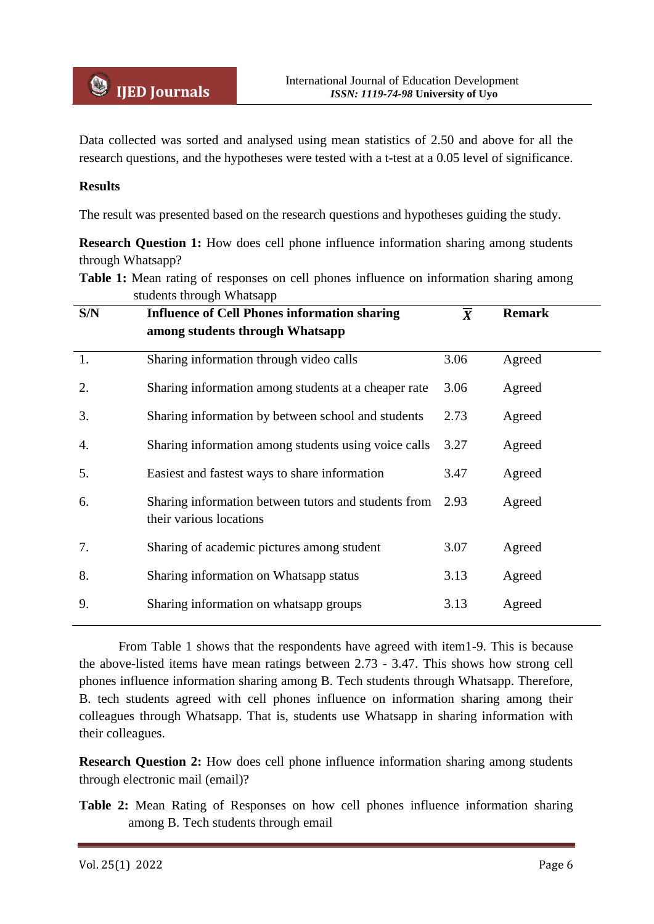Data collected was sorted and analysed using mean statistics of 2.50 and above for all the research questions, and the hypotheses were tested with a t-test at a 0.05 level of significance.

## **Results**

The result was presented based on the research questions and hypotheses guiding the study.

**Research Question 1:** How does cell phone influence information sharing among students through Whatsapp?

**Table 1:** Mean rating of responses on cell phones influence on information sharing among students through Whatsapp

From Table 1 shows that the respondents have agreed with item1-9. This is because the above-listed items have mean ratings between 2.73 - 3.47. This shows how strong cell phones influence information sharing among B. Tech students through Whatsapp. Therefore, B. tech students agreed with cell phones influence on information sharing among their colleagues through Whatsapp. That is, students use Whatsapp in sharing information with their colleagues.

**Research Question 2:** How does cell phone influence information sharing among students through electronic mail (email)?

**Table 2:** Mean Rating of Responses on how cell phones influence information sharing among B. Tech students through email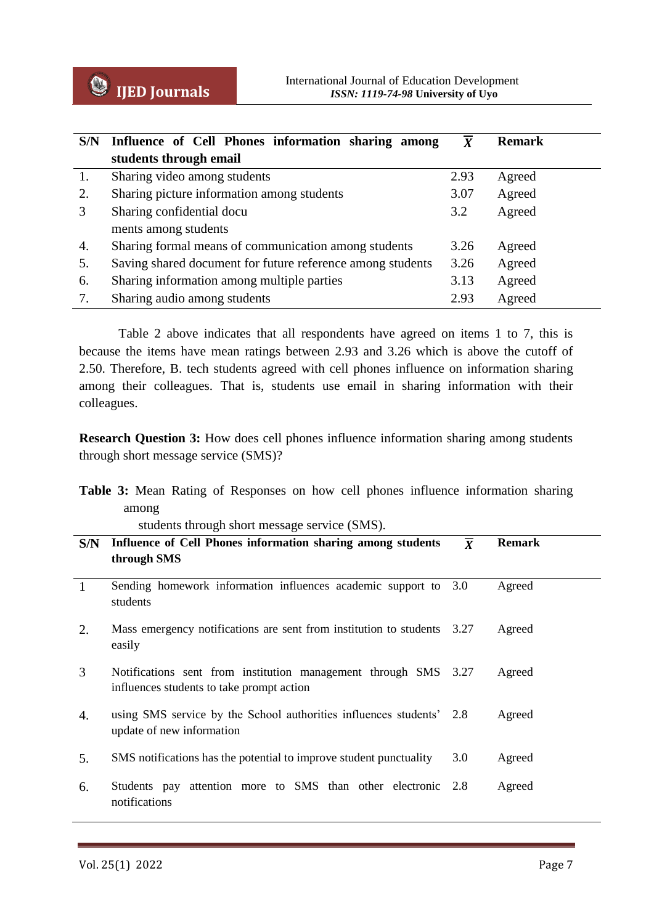

| S/N | Influence of Cell Phones information sharing among         | $\boldsymbol{X}$ | <b>Remark</b> |
|-----|------------------------------------------------------------|------------------|---------------|
|     | students through email                                     |                  |               |
| 1.  | Sharing video among students                               | 2.93             | Agreed        |
| 2.  | Sharing picture information among students                 | 3.07             | Agreed        |
| 3   | Sharing confidential docu                                  | 3.2              | Agreed        |
|     | ments among students                                       |                  |               |
| 4.  | Sharing formal means of communication among students       | 3.26             | Agreed        |
| 5.  | Saving shared document for future reference among students | 3.26             | Agreed        |
| 6.  | Sharing information among multiple parties                 | 3.13             | Agreed        |
| 7.  | Sharing audio among students                               | 2.93             | Agreed        |

Table 2 above indicates that all respondents have agreed on items 1 to 7, this is because the items have mean ratings between 2.93 and 3.26 which is above the cutoff of 2.50. Therefore, B. tech students agreed with cell phones influence on information sharing among their colleagues. That is, students use email in sharing information with their colleagues.

**Research Question 3:** How does cell phones influence information sharing among students through short message service (SMS)?

|  |       |  |  |  |  | Table 3: Mean Rating of Responses on how cell phones influence information sharing |  |
|--|-------|--|--|--|--|------------------------------------------------------------------------------------|--|
|  | among |  |  |  |  |                                                                                    |  |

students through short message service (SMS).

| S/N          | Influence of Cell Phones information sharing among students<br>through SMS                                   | $\overline{X}$ | <b>Remark</b> |
|--------------|--------------------------------------------------------------------------------------------------------------|----------------|---------------|
| $\mathbf{1}$ | Sending homework information influences academic support to 3.0<br>students                                  |                | Agreed        |
| 2.           | Mass emergency notifications are sent from institution to students 3.27<br>easily                            |                | Agreed        |
| 3            | Notifications sent from institution management through SMS 3.27<br>influences students to take prompt action |                | Agreed        |
| 4.           | using SMS service by the School authorities influences students' 2.8<br>update of new information            |                | Agreed        |
| 5.           | SMS notifications has the potential to improve student punctuality                                           | 3.0            | Agreed        |
| 6.           | Students pay attention more to SMS than other electronic 2.8<br>notifications                                |                | Agreed        |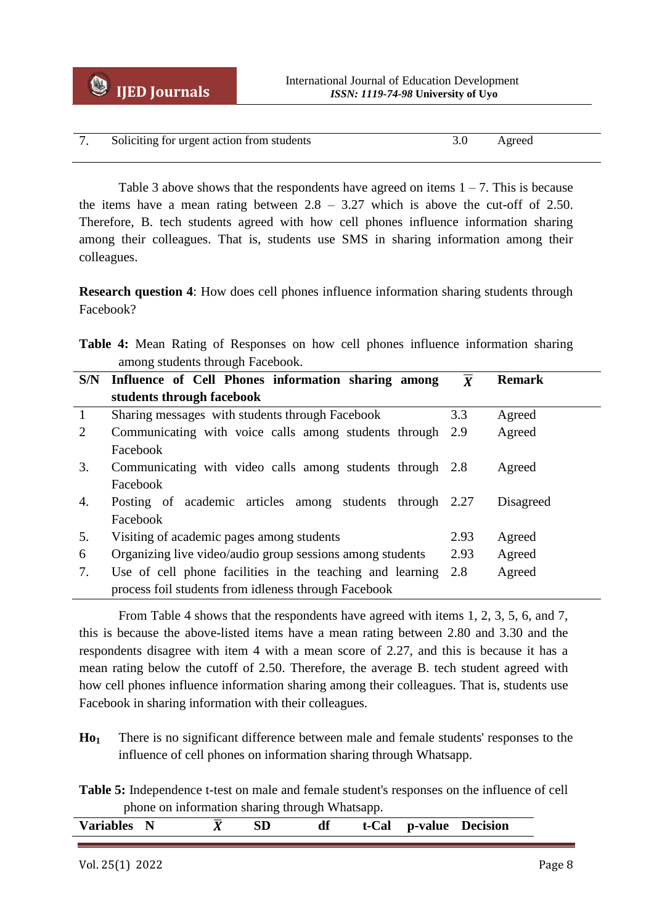| 7. Soliciting for urgent action from students | Agreed |  |
|-----------------------------------------------|--------|--|

Table 3 above shows that the respondents have agreed on items  $1 - 7$ . This is because the items have a mean rating between  $2.8 - 3.27$  which is above the cut-off of 2.50. Therefore, B. tech students agreed with how cell phones influence information sharing among their colleagues. That is, students use SMS in sharing information among their colleagues.

**Research question 4**: How does cell phones influence information sharing students through Facebook?

|  |  |                                  |  |  | Table 4: Mean Rating of Responses on how cell phones influence information sharing |  |
|--|--|----------------------------------|--|--|------------------------------------------------------------------------------------|--|
|  |  | among students through Facebook. |  |  |                                                                                    |  |

| S/N          | Influence of Cell Phones information sharing among        | $\overline{X}$ | <b>Remark</b> |
|--------------|-----------------------------------------------------------|----------------|---------------|
|              | students through facebook                                 |                |               |
| $\mathbf{1}$ | Sharing messages with students through Facebook           | 3.3            | Agreed        |
| 2            | Communicating with voice calls among students through 2.9 |                | Agreed        |
|              | Facebook                                                  |                |               |
| 3.           | Communicating with video calls among students through 2.8 |                | Agreed        |
|              | Facebook                                                  |                |               |
| 4.           | Posting of academic articles among students through 2.27  |                | Disagreed     |
|              | Facebook                                                  |                |               |
| 5.           | Visiting of academic pages among students                 | 2.93           | Agreed        |
| 6            | Organizing live video/audio group sessions among students | 2.93           | Agreed        |
| 7.           | Use of cell phone facilities in the teaching and learning | 2.8            | Agreed        |
|              | process foil students from idleness through Facebook      |                |               |

From Table 4 shows that the respondents have agreed with items 1, 2, 3, 5, 6, and 7, this is because the above-listed items have a mean rating between 2.80 and 3.30 and the respondents disagree with item 4 with a mean score of 2.27, and this is because it has a mean rating below the cutoff of 2.50. Therefore, the average B. tech student agreed with how cell phones influence information sharing among their colleagues. That is, students use Facebook in sharing information with their colleagues.

**Ho<sup>1</sup>** There is no significant difference between male and female students' responses to the influence of cell phones on information sharing through Whatsapp.

**Table 5:** Independence t-test on male and female student's responses on the influence of cell phone on information sharing through Whatsapp.

| <b>Variables</b> |  | df | t-Cal p-value | <b>Decision</b> |
|------------------|--|----|---------------|-----------------|
|                  |  |    |               |                 |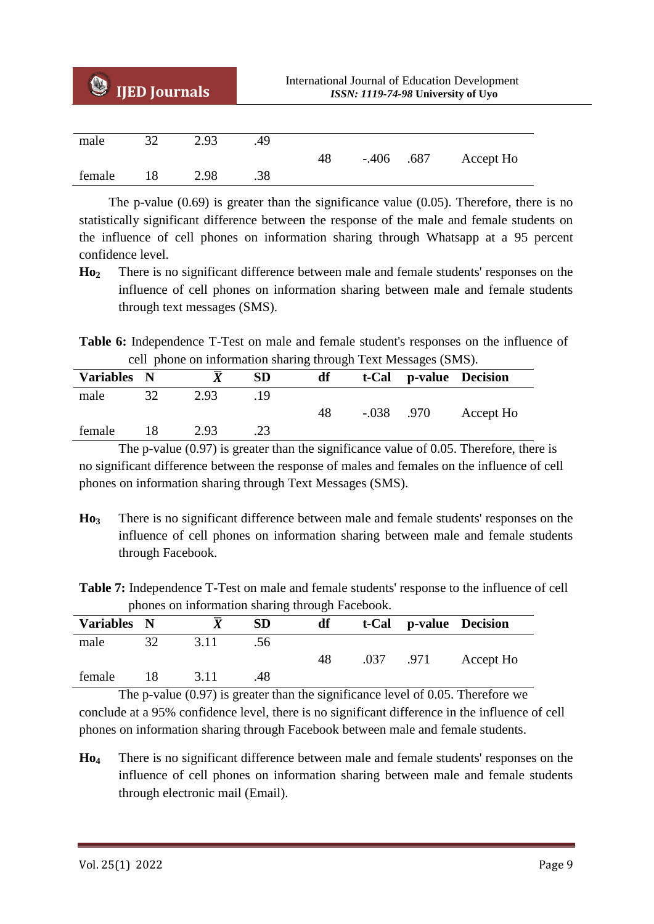| U      | <b>IJED Journals</b> |      | <b>International Journal of Education Development</b><br>ISSN: 1119-74-98 University of Uyo |    |              |  |           |  |
|--------|----------------------|------|---------------------------------------------------------------------------------------------|----|--------------|--|-----------|--|
|        |                      |      |                                                                                             |    |              |  |           |  |
| male   | 32                   | 2.93 | .49                                                                                         |    |              |  |           |  |
|        |                      |      |                                                                                             | 48 | $-.406$ .687 |  | Accept Ho |  |
| female | 18                   | 2.98 | .38                                                                                         |    |              |  |           |  |

The p-value  $(0.69)$  is greater than the significance value  $(0.05)$ . Therefore, there is no statistically significant difference between the response of the male and female students on the influence of cell phones on information sharing through Whatsapp at a 95 percent confidence level.

**Ho<sup>2</sup>** There is no significant difference between male and female students' responses on the influence of cell phones on information sharing between male and female students through text messages (SMS).

**Table 6:** Independence T-Test on male and female student's responses on the influence of cell phone on information sharing through Text Messages (SMS).

| Variables N |    |      | <b>SD</b> | df |         |      | t-Cal p-value Decision |
|-------------|----|------|-----------|----|---------|------|------------------------|
| male        | 32 | 2.93 | .19       |    |         |      |                        |
|             |    |      |           | 48 | $-.038$ | .970 | Accept Ho              |
| female      |    | 2.93 | .23       |    |         |      |                        |

The p-value (0.97) is greater than the significance value of 0.05. Therefore, there is no significant difference between the response of males and females on the influence of cell phones on information sharing through Text Messages (SMS).

**Ho<sup>3</sup>** There is no significant difference between male and female students' responses on the influence of cell phones on information sharing between male and female students through Facebook.

**Table 7:** Independence T-Test on male and female students' response to the influence of cell phones on information sharing through Facebook.

|             |    |      |           | . . |      |      |                        |
|-------------|----|------|-----------|-----|------|------|------------------------|
| Variables N |    |      | <b>SD</b> | df  |      |      | t-Cal p-value Decision |
| male        | 32 | 3.11 | .56       |     |      |      |                        |
|             |    |      |           | 48  | .037 | .971 | Accept Ho              |
| female      | 18 | 3.11 | .48       |     |      |      |                        |

The p-value (0.97) is greater than the significance level of 0.05. Therefore we conclude at a 95% confidence level, there is no significant difference in the influence of cell phones on information sharing through Facebook between male and female students.

**Ho<sup>4</sup>** There is no significant difference between male and female students' responses on the influence of cell phones on information sharing between male and female students through electronic mail (Email).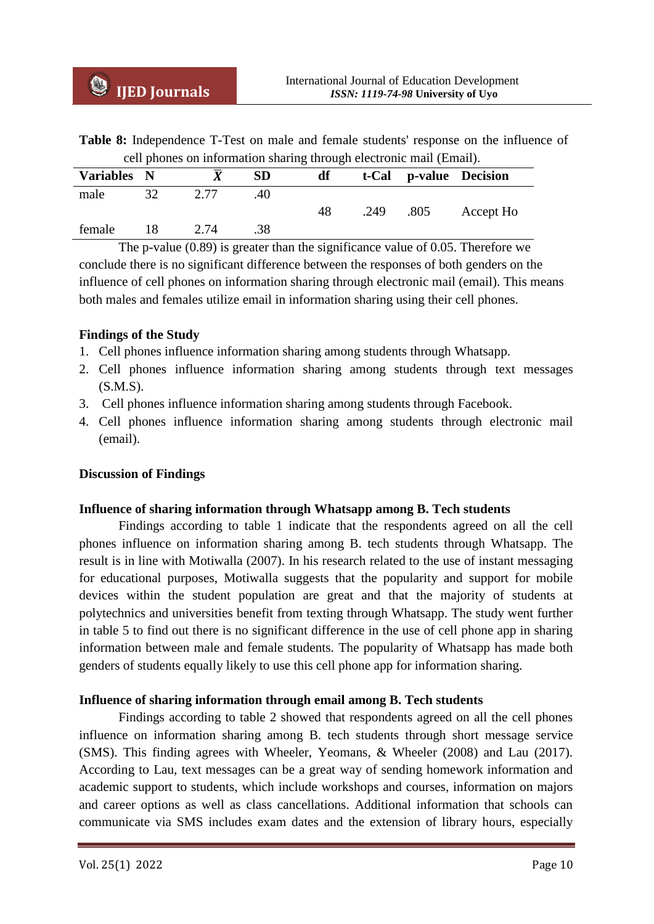**Table 8:** Independence T-Test on male and female students' response on the influence of cell phones on information sharing through electronic mail (Email).

|    |             | <b>SD</b> | df |      |      |                        |
|----|-------------|-----------|----|------|------|------------------------|
| 32 | 2.77        | .40       |    |      |      |                        |
|    |             |           | 48 | .249 | .805 | Accept Ho              |
|    | 2.74        | .38       |    |      |      |                        |
|    | Variables N |           |    |      |      | t-Cal p-value Decision |

The p-value (0.89) is greater than the significance value of 0.05. Therefore we conclude there is no significant difference between the responses of both genders on the influence of cell phones on information sharing through electronic mail (email). This means both males and females utilize email in information sharing using their cell phones.

# **Findings of the Study**

- 1. Cell phones influence information sharing among students through Whatsapp.
- 2. Cell phones influence information sharing among students through text messages (S.M.S).
- 3. Cell phones influence information sharing among students through Facebook.
- 4. Cell phones influence information sharing among students through electronic mail (email).

## **Discussion of Findings**

## **Influence of sharing information through Whatsapp among B. Tech students**

Findings according to table 1 indicate that the respondents agreed on all the cell phones influence on information sharing among B. tech students through Whatsapp. The result is in line with Motiwalla (2007). In his research related to the use of instant messaging for educational purposes, Motiwalla suggests that the popularity and support for mobile devices within the student population are great and that the majority of students at polytechnics and universities benefit from texting through Whatsapp. The study went further in table 5 to find out there is no significant difference in the use of cell phone app in sharing information between male and female students. The popularity of Whatsapp has made both genders of students equally likely to use this cell phone app for information sharing.

## **Influence of sharing information through email among B. Tech students**

Findings according to table 2 showed that respondents agreed on all the cell phones influence on information sharing among B. tech students through short message service (SMS). This finding agrees with Wheeler, Yeomans, & Wheeler (2008) and Lau (2017). According to Lau, text messages can be a great way of sending homework information and academic support to students, which include workshops and courses, information on majors and career options as well as class cancellations. Additional information that schools can communicate via SMS includes exam dates and the extension of library hours, especially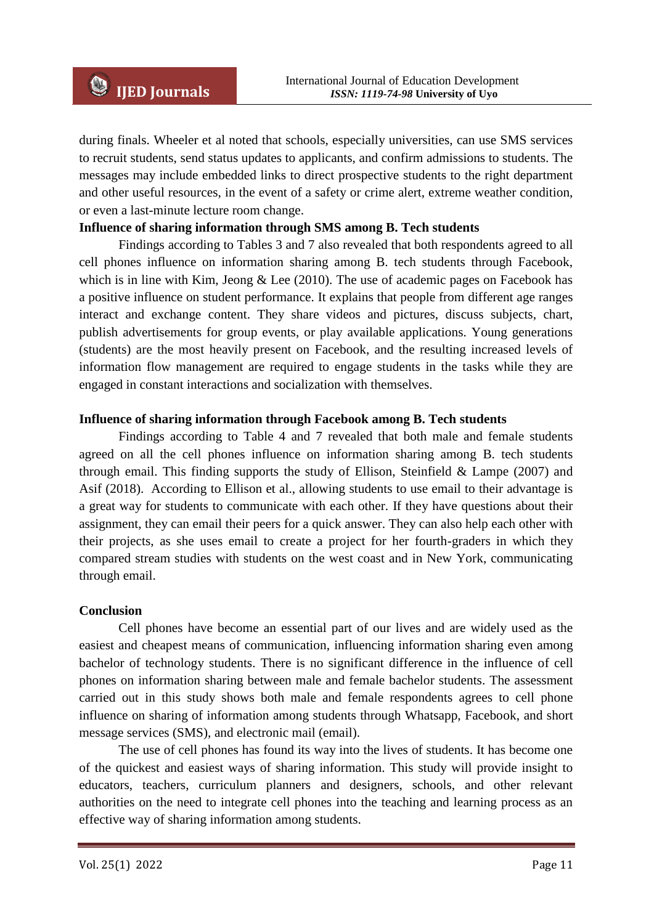during finals. Wheeler et al noted that schools, especially universities, can use SMS services to recruit students, send status updates to applicants, and confirm admissions to students. The messages may include embedded links to direct prospective students to the right department and other useful resources, in the event of a safety or crime alert, extreme weather condition, or even a last-minute lecture room change.

# **Influence of sharing information through SMS among B. Tech students**

Findings according to Tables 3 and 7 also revealed that both respondents agreed to all cell phones influence on information sharing among B. tech students through Facebook, which is in line with Kim, Jeong & Lee  $(2010)$ . The use of academic pages on Facebook has a positive influence on student performance. It explains that people from different age ranges interact and exchange content. They share videos and pictures, discuss subjects, chart, publish advertisements for group events, or play available applications. Young generations (students) are the most heavily present on Facebook, and the resulting increased levels of information flow management are required to engage students in the tasks while they are engaged in constant interactions and socialization with themselves.

## **Influence of sharing information through Facebook among B. Tech students**

Findings according to Table 4 and 7 revealed that both male and female students agreed on all the cell phones influence on information sharing among B. tech students through email. This finding supports the study of Ellison, Steinfield  $&$  Lampe (2007) and Asif (2018). According to Ellison et al., allowing students to use email to their advantage is a great way for students to communicate with each other. If they have questions about their assignment, they can email their peers for a quick answer. They can also help each other with their projects, as she uses email to create a project for her fourth-graders in which they compared stream studies with students on the west coast and in New York, communicating through email.

## **Conclusion**

Cell phones have become an essential part of our lives and are widely used as the easiest and cheapest means of communication, influencing information sharing even among bachelor of technology students. There is no significant difference in the influence of cell phones on information sharing between male and female bachelor students. The assessment carried out in this study shows both male and female respondents agrees to cell phone influence on sharing of information among students through Whatsapp, Facebook, and short message services (SMS), and electronic mail (email).

The use of cell phones has found its way into the lives of students. It has become one of the quickest and easiest ways of sharing information. This study will provide insight to educators, teachers, curriculum planners and designers, schools, and other relevant authorities on the need to integrate cell phones into the teaching and learning process as an effective way of sharing information among students.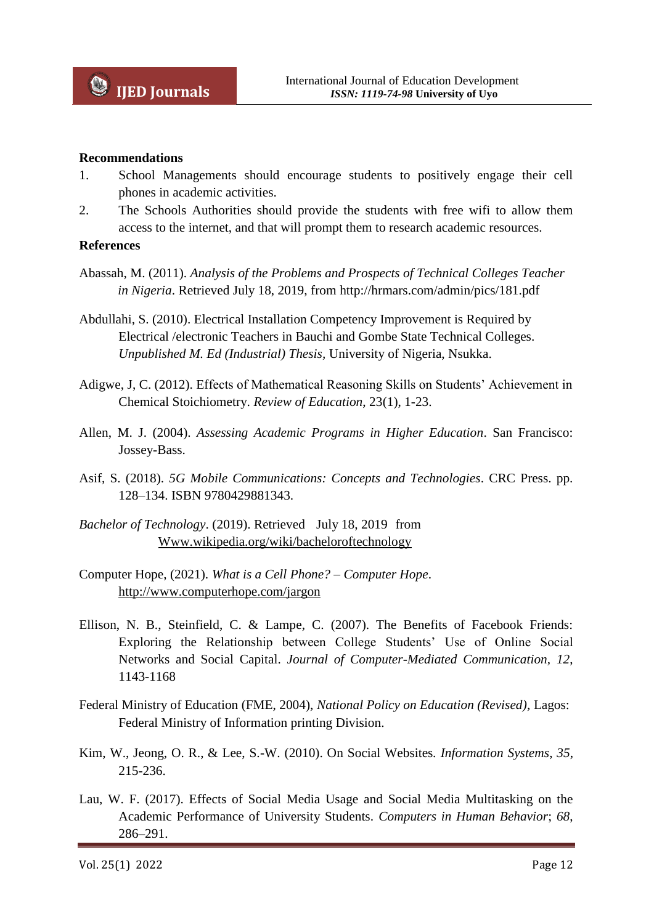#### **Recommendations**

- 1. School Managements should encourage students to positively engage their cell phones in academic activities.
- 2. The Schools Authorities should provide the students with free wifi to allow them access to the internet, and that will prompt them to research academic resources.

#### **References**

- Abassah, M. (2011). *Analysis of the Problems and Prospects of Technical Colleges Teacher in Nigeria*. Retrieved July 18, 2019, from<http://hrmars.com/admin/pics/181.pdf>
- Abdullahi, S. (2010). Electrical Installation Competency Improvement is Required by Electrical /electronic Teachers in Bauchi and Gombe State Technical Colleges. *Unpublished M. Ed (Industrial) Thesis,* University of Nigeria, Nsukka.
- Adigwe, J, C. (2012). Effects of Mathematical Reasoning Skills on Students' Achievement in Chemical Stoichiometry. *Review of Education*, 23(1), 1-23.
- Allen, M. J. (2004). *Assessing Academic Programs in Higher Education*. San Francisco: Jossey-Bass.
- Asif, S. (2018). *5G Mobile Communications: Concepts and Technologies*. CRC Press. pp. 128–134. ISBN 9780429881343.
- *Bachelor of Technology*. (2019). Retrieved July 18, 2019 from [Www.wikipedia.org/wiki/bacheloroftechnology](http://www.wikipedia.org/wiki/bacheloroftechnology)
- Computer Hope, (2021). *What is a Cell Phone? – Computer Hope*. <http://www.computerhope.com/jargon>
- Ellison, N. B., Steinfield, C. & Lampe, C. (2007). The Benefits of Facebook Friends: Exploring the Relationship between College Students' Use of Online Social Networks and Social Capital. *Journal of Computer-Mediated Communication, 12*, 1143-1168
- Federal Ministry of Education (FME, 2004), *National Policy on Education (Revised)*, Lagos: Federal Ministry of Information printing Division.
- Kim, W., Jeong, O. R., & Lee, S.-W. (2010). On Social Websites*. Information Systems*, *35*, 215-236.
- Lau, W. F. (2017). Effects of Social Media Usage and Social Media Multitasking on the Academic Performance of University Students. *Computers in Human Behavior*; *68*, 286–291.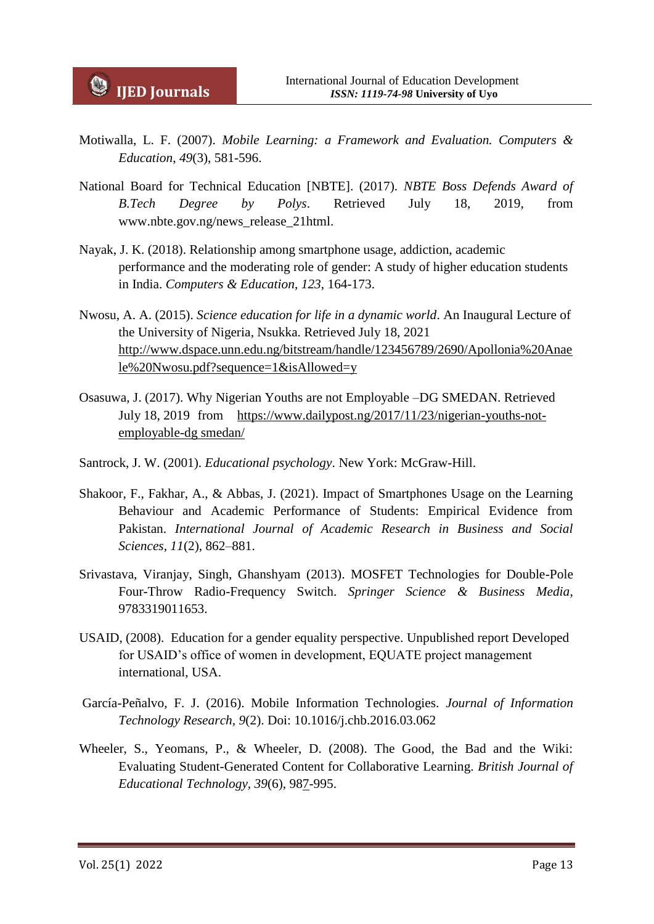- Motiwalla, L. F. (2007). *Mobile Learning: a Framework and Evaluation. Computers & Education*, *49*(3), 581-596.
- National Board for Technical Education [NBTE]. (2017). *NBTE Boss Defends Award of B.Tech Degree by Polys*. Retrieved July 18, 2019, from [www.nbte.gov.ng/news\\_release\\_21html.](http://www.nbte.gov.ng/news_release_21html)
- Nayak, J. K. (2018). Relationship among smartphone usage, addiction, academic performance and the moderating role of gender: A study of higher education students in India. *Computers & Education*, *123*, 164-173.
- Nwosu, A. A. (2015). *Science education for life in a dynamic world*. An Inaugural Lecture of the University of Nigeria, Nsukka. Retrieved July 18, 2021 [http://www.dspace.unn.edu.ng/bitstream/handle/123456789/2690/Apollonia%20Anae](http://www.dspace.unn.edu.ng/bitstream/handle/123456789/2690/Apollonia%20Anaele%20Nwosu.pdf?sequence=1&isAllowed=y) [le%20Nwosu.pdf?sequence=1&isAllowed=y](http://www.dspace.unn.edu.ng/bitstream/handle/123456789/2690/Apollonia%20Anaele%20Nwosu.pdf?sequence=1&isAllowed=y)
- Osasuwa, J. (2017). Why Nigerian Youths are not Employable –DG SMEDAN. Retrieved July 18, 2019 from [https://www.dailypost.ng/2017/11/23/nigerian-youths-not](https://www.dailypost.ng/2017/11/23/nigerian-youths-not-employable-dg%20smedan/)[employable-dg smedan/](https://www.dailypost.ng/2017/11/23/nigerian-youths-not-employable-dg%20smedan/)
- Santrock, J. W. (2001). *Educational psychology*. New York: McGraw-Hill.
- Shakoor, F., Fakhar, A., & Abbas, J. (2021). Impact of Smartphones Usage on the Learning Behaviour and Academic Performance of Students: Empirical Evidence from Pakistan. *International Journal of Academic Research in Business and Social Sciences, 11*(2), 862–881.
- Srivastava, Viranjay, Singh, Ghanshyam (2013). MOSFET Technologies for Double-Pole Four-Throw Radio-Frequency Switch. *Springer Science & Business Media*, 9783319011653.
- USAID, (2008). Education for a gender equality perspective. Unpublished report Developed for USAID's office of women in development, EQUATE project management international, USA.
- García-Peñalvo, F. J. (2016). Mobile Information Technologies. *Journal of Information Technology Research, 9*(2). Doi: 10.1016/j.chb.2016.03.062
- Wheeler, S., Yeomans, P., & Wheeler, D. (2008). The Good, the Bad and the Wiki: Evaluating Student-Generated Content for Collaborative Learning. *British Journal of Educational Technology, 39*(6), 987-995.